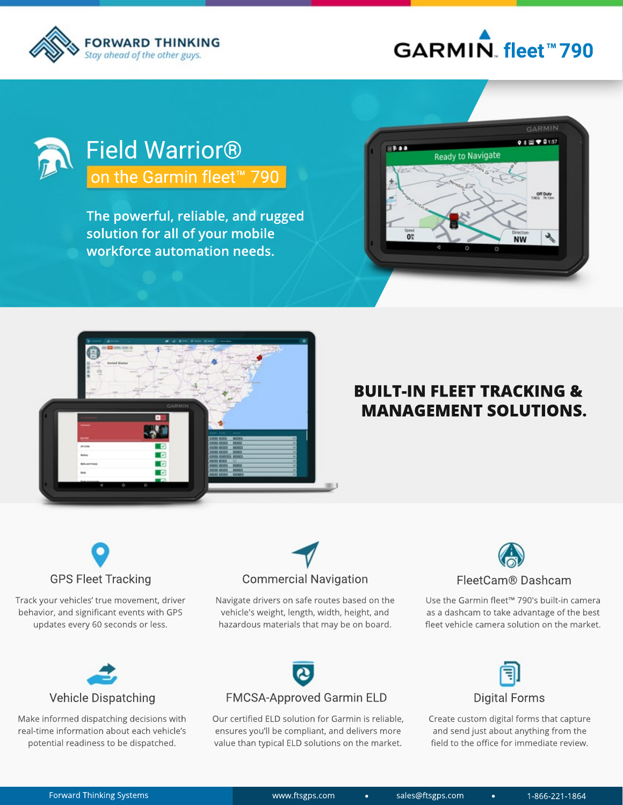

## **fleetTM 790**



## Field Warrior<sup>®</sup> on the Garmin fleet<sup>™</sup> 790

**The powerful, reliable, and rugged** solution for all of your mobile **workforce automation needs.** 





### **BUILT-IN FLEET TRACKING & MANAGEMENT SOLUTIONS.**



Track your vehicles' true movement, driver behavior, and significant events with GPS updates every 60 seconds or less.



Navigate drivers on safe routes based on the vehicle's weight, length, width, height, and hazardous materials that may be on board.



Use the Garmin fleet™ 790's built-in camera as a dashcam to take advantage of the best fleet vehicle camera solution on the market.



Make informed dispatching decisions with real-time information about each vehicle's potential readiness to be dispatched.

# FMCSA-Approved Garmin ELD

Our certified ELD solution for Garmin is reliable, ensures you'll be compliant, and delivers more value than typical ELD solutions on the market.



Create custom digital forms that capture and send just about anything from the field to the office for immediate review.